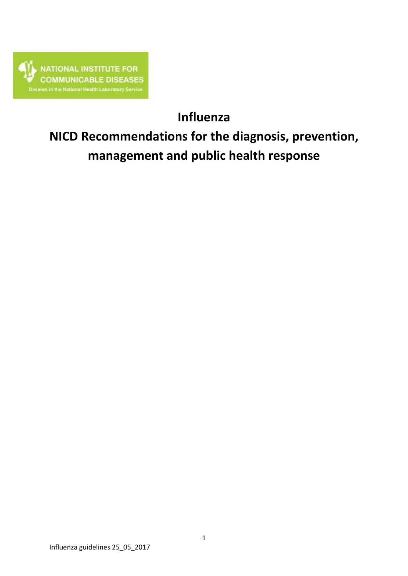

# **Influenza**

# **NICD Recommendations for the diagnosis, prevention, management and public health response**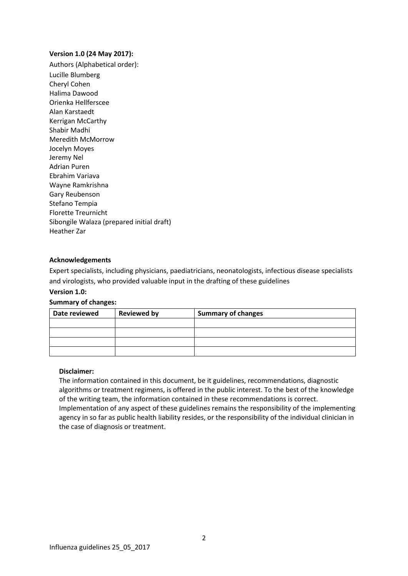#### **Version 1.0 (24 May 2017):**

Authors (Alphabetical order): Lucille Blumberg Cheryl Cohen Halima Dawood Orienka Hellferscee Alan Karstaedt Kerrigan McCarthy Shabir Madhi Meredith McMorrow Jocelyn Moyes Jeremy Nel Adrian Puren Ebrahim Variava Wayne Ramkrishna Gary Reubenson Stefano Tempia Florette Treurnicht Sibongile Walaza (prepared initial draft) Heather Zar

#### **Acknowledgements**

Expert specialists, including physicians, paediatricians, neonatologists, infectious disease specialists and virologists, who provided valuable input in the drafting of these guidelines

#### **Version 1.0:**

#### **Summary of changes:**

| Date reviewed | <b>Reviewed by</b> | <b>Summary of changes</b> |
|---------------|--------------------|---------------------------|
|               |                    |                           |
|               |                    |                           |
|               |                    |                           |
|               |                    |                           |

#### **Disclaimer:**

The information contained in this document, be it guidelines, recommendations, diagnostic algorithms or treatment regimens, is offered in the public interest. To the best of the knowledge of the writing team, the information contained in these recommendations is correct. Implementation of any aspect of these guidelines remains the responsibility of the implementing agency in so far as public health liability resides, or the responsibility of the individual clinician in the case of diagnosis or treatment.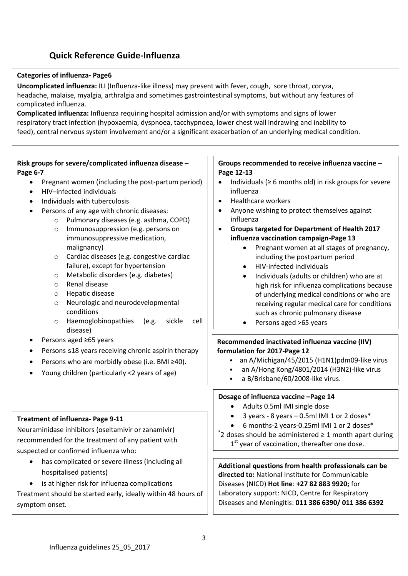## **Quick Reference Guide-Influenza**

#### **Categories of influenza- Page6**

**Uncomplicated influenza:** ILI (Influenza-like illness) may present with fever, cough, sore throat, coryza, headache, malaise, myalgia, arthralgia and sometimes gastrointestinal symptoms, but without any features of complicated influenza.

**Complicated influenza:** Influenza requiring hospital admission and/or with symptoms and signs of lower respiratory tract infection (hypoxaemia, dyspnoea, tacchypnoea, lower chest wall indrawing and inability to feed), central nervous system involvement and/or a significant exacerbation of an underlying medical condition.

#### **Recommended inactivated influenza vaccine (IIV) formulation for 2017-Page 12** • an A/Michigan/45/2015 (H1N1)pdm09-like virus • an A/Hong Kong/4801/2014 (H3N2)-like virus • a B/Brisbane/60/2008-like virus. **Groups recommended to receive influenza vaccine – Page 12-13** Individuals ( $\geq 6$  months old) in risk groups for severe influenza Healthcare workers Anyone wishing to protect themselves against influenza **Groups targeted for Department of Health 2017 influenza vaccination campaign-Page 13** • Pregnant women at all stages of pregnancy, including the postpartum period • HIV-infected individuals Individuals (adults or children) who are at high risk for influenza complications because of underlying medical conditions or who are receiving regular medical care for conditions such as chronic pulmonary disease Persons aged >65 years **Dosage of influenza vaccine –Page 14** Adults 0.5ml IMI single dose **Risk groups for severe/complicated influenza disease – Page 6-7** • Pregnant women (including the post-partum period) HIV–infected individuals Individuals with tuberculosis Persons of any age with chronic diseases: o Pulmonary diseases (e.g. asthma, COPD) o Immunosuppression (e.g. persons on immunosuppressive medication, malignancy) o Cardiac diseases (e.g. congestive cardiac failure), except for hypertension o Metabolic disorders (e.g. diabetes) o Renal disease o Hepatic disease o Neurologic and neurodevelopmental conditions o Haemoglobinopathies (e.g. sickle cell disease) Persons aged ≥65 years Persons ≤18 years receiving chronic aspirin therapy Persons who are morbidly obese (i.e. BMI ≥40). Young children (particularly <2 years of age)

Neuraminidase inhibitors (oseltamivir or zanamivir) recommended for the treatment of any patient with suspected or confirmed influenza who:

**Treatment of influenza- Page 9-11**

- has complicated or severe illness (including all hospitalised patients)
- is at higher risk for influenza complications

Treatment should be started early, ideally within 48 hours of symptom onset.

- 3 years 8 years  $-$  0.5ml IMI 1 or 2 doses $*$
- 6 months-2 years-0.25ml IMI 1 or 2 doses\* \* 2 doses should be administered ≥ 1 month apart during 1<sup>st</sup> year of vaccination, thereafter one dose.

**Additional questions from health professionals can be directed to:** National Institute for Communicable Diseases (NICD) **Hot line**: **+27 82 883 9920;** for Laboratory support: NICD, Centre for Respiratory Diseases and Meningitis: **011 386 6390/ 011 386 6392**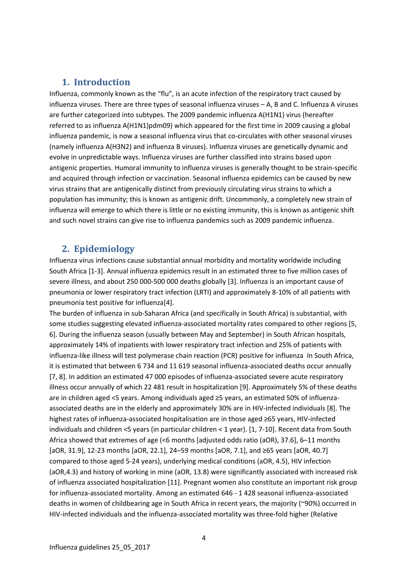#### **1. Introduction**

Influenza, commonly known as the "flu", is an acute infection of the respiratory tract caused by influenza viruses. There are three types of seasonal influenza viruses – A, B and C. Influenza A viruses are further categorized into subtypes. The 2009 pandemic influenza A(H1N1) virus (hereafter referred to as influenza A(H1N1)pdm09) which appeared for the first time in 2009 causing a global influenza pandemic, is now a seasonal influenza virus that co-circulates with other seasonal viruses (namely influenza A(H3N2) and influenza B viruses). Influenza viruses are genetically dynamic and evolve in unpredictable ways. Influenza viruses are further classified into strains based upon antigenic properties. Humoral immunity to influenza viruses is generally thought to be strain-specific and acquired through infection or vaccination. Seasonal influenza epidemics can be caused by new virus strains that are antigenically distinct from previously circulating virus strains to which a population has immunity; this is known as antigenic drift. Uncommonly, a completely new strain of influenza will emerge to which there is little or no existing immunity, this is known as antigenic shift and such novel strains can give rise to influenza pandemics such as 2009 pandemic influenza.

#### **2. Epidemiology**

Influenza virus infections cause substantial annual morbidity and mortality worldwide including South Africa [1-3]. Annual influenza epidemics result in an estimated three to five million cases of severe illness, and about 250 000-500 000 deaths globally [3]. Influenza is an important cause of pneumonia or lower respiratory tract infection (LRTI) and approximately 8-10% of all patients with pneumonia test positive for influenza[4].

The burden of influenza in sub-Saharan Africa (and specifically in South Africa) is substantial, with some studies suggesting elevated influenza-associated mortality rates compared to other regions [5, 6]. During the influenza season (usually between May and September) in South African hospitals, approximately 14% of inpatients with lower respiratory tract infection and 25% of patients with influenza-like illness will test polymerase chain reaction (PCR) positive for influenza In South Africa, it is estimated that between 6 734 and 11 619 seasonal influenza-associated deaths occur annually [7, 8]. In addition an estimated 47 000 episodes of influenza-associated severe acute respiratory illness occur annually of which 22 481 result in hospitalization [9]. Approximately 5% of these deaths are in children aged <5 years. Among individuals aged ≥5 years, an estimated 50% of influenzaassociated deaths are in the elderly and approximately 30% are in HIV-infected individuals [8]. The highest rates of influenza-associated hospitalisation are in those aged ≥65 years, HIV-infected individuals and children <5 years (in particular children < 1 year). [1, 7-10]. Recent data from South Africa showed that extremes of age (<6 months [adjusted odds ratio (aOR), 37.6], 6–11 months [aOR, 31.9], 12-23 months [aOR, 22.1], 24–59 months [aOR, 7.1], and ≥65 years [aOR, 40.7] compared to those aged 5-24 years), underlying medical conditions (aOR, 4.5), HIV infection (aOR,4.3) and history of working in mine (aOR, 13.8) were significantly associated with increased risk of influenza associated hospitalization [11]. Pregnant women also constitute an important risk group for influenza-associated mortality. Among an estimated 646 - 1 428 seasonal influenza-associated deaths in women of childbearing age in South Africa in recent years, the majority (~90%) occurred in HIV-infected individuals and the influenza-associated mortality was three-fold higher (Relative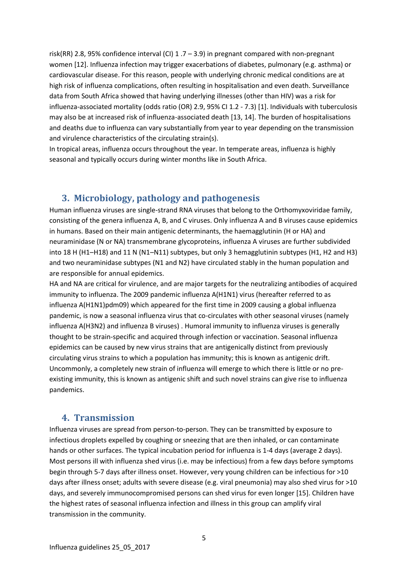risk(RR) 2.8, 95% confidence interval (CI)  $1.7 - 3.9$ ) in pregnant compared with non-pregnant women [12]. Influenza infection may trigger exacerbations of diabetes, pulmonary (e.g. asthma) or cardiovascular disease. For this reason, people with underlying chronic medical conditions are at high risk of influenza complications, often resulting in hospitalisation and even death. Surveillance data from South Africa showed that having underlying illnesses (other than HIV) was a risk for influenza-associated mortality (odds ratio (OR) 2.9, 95% CI 1.2 - 7.3) [1]. Individuals with tuberculosis may also be at increased risk of influenza-associated death [13, 14]. The burden of hospitalisations and deaths due to influenza can vary substantially from year to year depending on the transmission and virulence characteristics of the circulating strain(s).

In tropical areas, influenza occurs throughout the year. In temperate areas, influenza is highly seasonal and typically occurs during winter months like in South Africa.

#### **3. Microbiology, pathology and pathogenesis**

Human influenza viruses are single-strand RNA viruses that belong to the Orthomyxoviridae family, consisting of the genera influenza A, B, and C viruses. Only influenza A and B viruses cause epidemics in humans. Based on their main antigenic determinants, the haemagglutinin (H or HA) and neuraminidase (N or NA) transmembrane glycoproteins, influenza A viruses are further subdivided into 18 H (H1–H18) and 11 N (N1–N11) subtypes, but only 3 hemagglutinin subtypes (H1, H2 and H3) and two neuraminidase subtypes (N1 and N2) have circulated stably in the human population and are responsible for annual epidemics.

HA and NA are critical for virulence, and are major targets for the neutralizing antibodies of acquired immunity to influenza. The 2009 pandemic influenza A(H1N1) virus (hereafter referred to as influenza A(H1N1)pdm09) which appeared for the first time in 2009 causing a global influenza pandemic, is now a seasonal influenza virus that co-circulates with other seasonal viruses (namely influenza A(H3N2) and influenza B viruses) . Humoral immunity to influenza viruses is generally thought to be strain-specific and acquired through infection or vaccination. Seasonal influenza epidemics can be caused by new virus strains that are antigenically distinct from previously circulating virus strains to which a population has immunity; this is known as antigenic drift. Uncommonly, a completely new strain of influenza will emerge to which there is little or no preexisting immunity, this is known as antigenic shift and such novel strains can give rise to influenza pandemics.

#### **4. Transmission**

Influenza viruses are spread from person-to-person. They can be transmitted by exposure to infectious droplets expelled by coughing or sneezing that are then inhaled, or can contaminate hands or other surfaces. The typical incubation period for influenza is 1-4 days (average 2 days). Most persons ill with influenza shed virus (i.e. may be infectious) from a few days before symptoms begin through 5-7 days after illness onset. However, very young children can be infectious for >10 days after illness onset; adults with severe disease (e.g. viral pneumonia) may also shed virus for >10 days, and severely immunocompromised persons can shed virus for even longer [15]. Children have the highest rates of seasonal influenza infection and illness in this group can amplify viral transmission in the community.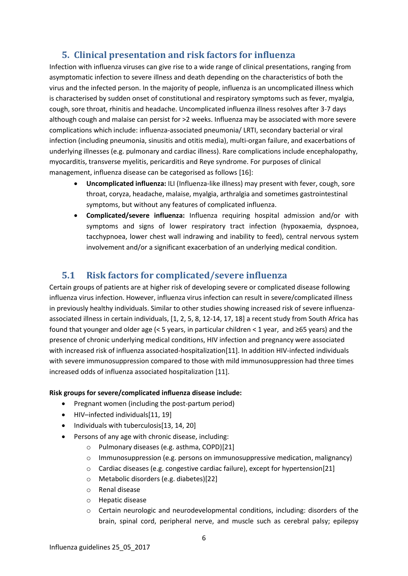## **5. Clinical presentation and risk factors for influenza**

Infection with influenza viruses can give rise to a wide range of clinical presentations, ranging from asymptomatic infection to severe illness and death depending on the characteristics of both the virus and the infected person. In the majority of people, influenza is an uncomplicated illness which is characterised by sudden onset of constitutional and respiratory symptoms such as fever, myalgia, cough, sore throat, rhinitis and headache. Uncomplicated influenza illness resolves after 3-7 days although cough and malaise can persist for >2 weeks. Influenza may be associated with more severe complications which include: influenza-associated pneumonia/ LRTI, secondary bacterial or viral infection (including pneumonia, sinusitis and otitis media), multi-organ failure, and exacerbations of underlying illnesses (e.g. pulmonary and cardiac illness). Rare complications include encephalopathy, myocarditis, transverse myelitis, pericarditis and Reye syndrome. For purposes of clinical management, influenza disease can be categorised as follows [16]:

- **Uncomplicated influenza:** ILI (Influenza-like illness) may present with fever, cough, sore throat, coryza, headache, malaise, myalgia, arthralgia and sometimes gastrointestinal symptoms, but without any features of complicated influenza.
- **Complicated/severe influenza:** Influenza requiring hospital admission and/or with symptoms and signs of lower respiratory tract infection (hypoxaemia, dyspnoea, tacchypnoea, lower chest wall indrawing and inability to feed), central nervous system involvement and/or a significant exacerbation of an underlying medical condition.

## **5.1 Risk factors for complicated/severe influenza**

Certain groups of patients are at higher risk of developing severe or complicated disease following influenza virus infection. However, influenza virus infection can result in severe/complicated illness in previously healthy individuals. Similar to other studies showing increased risk of severe influenzaassociated illness in certain individuals, [1, 2, 5, 8, 12-14, 17, 18] a recent study from South Africa has found that younger and older age (< 5 years, in particular children < 1 year, and ≥65 years) and the presence of chronic underlying medical conditions, HIV infection and pregnancy were associated with increased risk of influenza associated-hospitalization[11]. In addition HIV-infected individuals with severe immunosuppression compared to those with mild immunosuppression had three times increased odds of influenza associated hospitalization [11].

#### **Risk groups for severe/complicated influenza disease include:**

- Pregnant women (including the post-partum period)
- HIV-infected individuals[11, 19]
- Individuals with tuberculosis[13, 14, 20]
- Persons of any age with chronic disease, including:
	- o Pulmonary diseases (e.g. asthma, COPD)[21]
	- o Immunosuppression (e.g. persons on immunosuppressive medication, malignancy)
	- $\circ$  Cardiac diseases (e.g. congestive cardiac failure), except for hypertension[21]
	- o Metabolic disorders (e.g. diabetes)[22]
	- o Renal disease
	- o Hepatic disease
	- $\circ$  Certain neurologic and neurodevelopmental conditions, including: disorders of the brain, spinal cord, peripheral nerve, and muscle such as cerebral palsy; epilepsy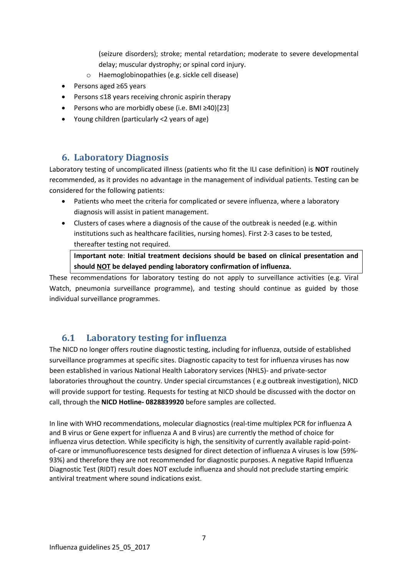(seizure disorders); stroke; mental retardation; moderate to severe developmental delay; muscular dystrophy; or spinal cord injury.

- o Haemoglobinopathies (e.g. sickle cell disease)
- Persons aged ≥65 years
- Persons ≤18 years receiving chronic aspirin therapy
- Persons who are morbidly obese (i.e. BMI ≥40)[23]
- Young children (particularly <2 years of age)

#### **6. Laboratory Diagnosis**

Laboratory testing of uncomplicated illness (patients who fit the ILI case definition) is **NOT** routinely recommended, as it provides no advantage in the management of individual patients. Testing can be considered for the following patients:

- Patients who meet the criteria for complicated or severe influenza, where a laboratory diagnosis will assist in patient management.
- Clusters of cases where a diagnosis of the cause of the outbreak is needed (e.g. within institutions such as healthcare facilities, nursing homes). First 2-3 cases to be tested, thereafter testing not required.

**Important note**: **Initial treatment decisions should be based on clinical presentation and should NOT be delayed pending laboratory confirmation of influenza.**

These recommendations for laboratory testing do not apply to surveillance activities (e.g. Viral Watch, pneumonia surveillance programme), and testing should continue as guided by those individual surveillance programmes.

## **6.1 Laboratory testing for influenza**

The NICD no longer offers routine diagnostic testing, including for influenza, outside of established surveillance programmes at specific sites. Diagnostic capacity to test for influenza viruses has now been established in various National Health Laboratory services (NHLS)- and private-sector laboratories throughout the country. Under special circumstances ( e.g outbreak investigation), NICD will provide support for testing. Requests for testing at NICD should be discussed with the doctor on call, through the **NICD Hotline- 0828839920** before samples are collected.

In line with WHO recommendations, molecular diagnostics (real-time multiplex PCR for influenza A and B virus or Gene expert for influenza A and B virus) are currently the method of choice for influenza virus detection. While specificity is high, the sensitivity of currently available rapid-pointof-care or immunofluorescence tests designed for direct detection of influenza A viruses is low (59%- 93%) and therefore they are not recommended for diagnostic purposes. A negative Rapid Influenza Diagnostic Test (RIDT) result does NOT exclude influenza and should not preclude starting empiric antiviral treatment where sound indications exist.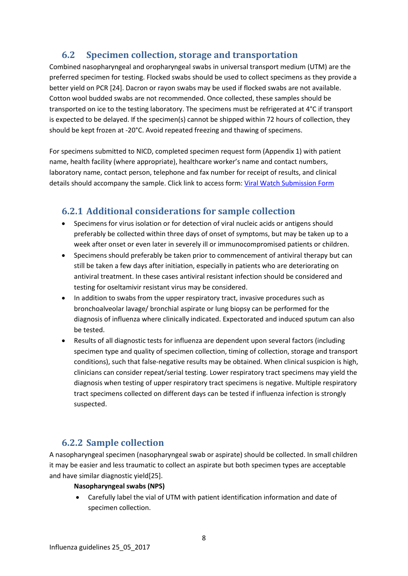## **6.2 Specimen collection, storage and transportation**

Combined nasopharyngeal and oropharyngeal swabs in universal transport medium (UTM) are the preferred specimen for testing. Flocked swabs should be used to collect specimens as they provide a better yield on PCR [24]. Dacron or rayon swabs may be used if flocked swabs are not available. Cotton wool budded swabs are not recommended. Once collected, these samples should be transported on ice to the testing laboratory. The specimens must be refrigerated at 4°C if transport is expected to be delayed. If the specimen(s) cannot be shipped within 72 hours of collection, they should be kept frozen at -20°C. Avoid repeated freezing and thawing of specimens.

For specimens submitted to NICD, completed specimen request form (Appendix 1) with patient name, health facility (where appropriate), healthcare worker's name and contact numbers, laboratory name, contact person, telephone and fax number for receipt of results, and clinical details should accompany the sample. Click link to access form[: Viral Watch Submission Form](http://www.nicd.ac.za/wp-content/uploads/2017/03/Viral-Watch-_lab-submission-form-23-May-2017.pdf)

## **6.2.1 Additional considerations for sample collection**

- Specimens for virus isolation or for detection of viral nucleic acids or antigens should preferably be collected within three days of onset of symptoms, but may be taken up to a week after onset or even later in severely ill or immunocompromised patients or children.
- Specimens should preferably be taken prior to commencement of antiviral therapy but can still be taken a few days after initiation, especially in patients who are deteriorating on antiviral treatment. In these cases antiviral resistant infection should be considered and testing for oseltamivir resistant virus may be considered.
- In addition to swabs from the upper respiratory tract, invasive procedures such as bronchoalveolar lavage/ bronchial aspirate or lung biopsy can be performed for the diagnosis of influenza where clinically indicated. Expectorated and induced sputum can also be tested.
- Results of all diagnostic tests for influenza are dependent upon several factors (including specimen type and quality of specimen collection, timing of collection, storage and transport conditions), such that false-negative results may be obtained. When clinical suspicion is high, clinicians can consider repeat/serial testing. Lower respiratory tract specimens may yield the diagnosis when testing of upper respiratory tract specimens is negative. Multiple respiratory tract specimens collected on different days can be tested if influenza infection is strongly suspected.

## **6.2.2 Sample collection**

A nasopharyngeal specimen (nasopharyngeal swab or aspirate) should be collected. In small children it may be easier and less traumatic to collect an aspirate but both specimen types are acceptable and have similar diagnostic yield[25].

#### **Nasopharyngeal swabs (NPS)**

 Carefully label the vial of UTM with patient identification information and date of specimen collection.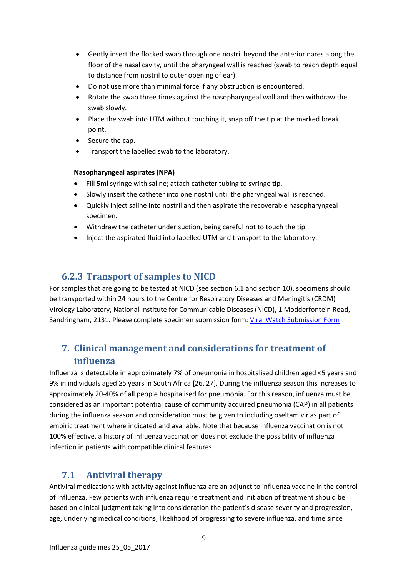- Gently insert the flocked swab through one nostril beyond the anterior nares along the floor of the nasal cavity, until the pharyngeal wall is reached (swab to reach depth equal to distance from nostril to outer opening of ear).
- Do not use more than minimal force if any obstruction is encountered.
- Rotate the swab three times against the nasopharyngeal wall and then withdraw the swab slowly.
- Place the swab into UTM without touching it, snap off the tip at the marked break point.
- Secure the cap.
- Transport the labelled swab to the laboratory.

#### **Nasopharyngeal aspirates (NPA)**

- Fill 5ml syringe with saline; attach catheter tubing to syringe tip.
- Slowly insert the catheter into one nostril until the pharyngeal wall is reached.
- Quickly inject saline into nostril and then aspirate the recoverable nasopharyngeal specimen.
- Withdraw the catheter under suction, being careful not to touch the tip.
- Inject the aspirated fluid into labelled UTM and transport to the laboratory.

## **6.2.3 Transport of samples to NICD**

For samples that are going to be tested at NICD (see section 6.1 and section 10), specimens should be transported within 24 hours to the Centre for Respiratory Diseases and Meningitis (CRDM) Virology Laboratory, National Institute for Communicable Diseases (NICD), 1 Modderfontein Road, Sandringham, 2131. Please complete specimen submission form: [Viral Watch Submission Form](http://www.nicd.ac.za/wp-content/uploads/2017/03/Viral-Watch-_lab-submission-form-23-May-2017.pdf)

## **7. Clinical management and considerations for treatment of influenza**

Influenza is detectable in approximately 7% of pneumonia in hospitalised children aged <5 years and 9% in individuals aged ≥5 years in South Africa [26, 27]. During the influenza season this increases to approximately 20-40% of all people hospitalised for pneumonia. For this reason, influenza must be considered as an important potential cause of community acquired pneumonia (CAP) in all patients during the influenza season and consideration must be given to including oseltamivir as part of empiric treatment where indicated and available. Note that because influenza vaccination is not 100% effective, a history of influenza vaccination does not exclude the possibility of influenza infection in patients with compatible clinical features.

## **7.1 Antiviral therapy**

Antiviral medications with activity against influenza are an adjunct to influenza vaccine in the control of influenza. Few patients with influenza require treatment and initiation of treatment should be based on clinical judgment taking into consideration the patient's disease severity and progression, age, underlying medical conditions, likelihood of progressing to severe influenza, and time since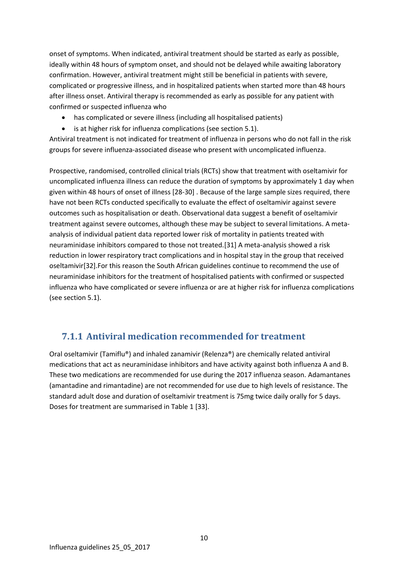onset of symptoms. When indicated, antiviral treatment should be started as early as possible, ideally within 48 hours of symptom onset, and should not be delayed while awaiting laboratory confirmation. However, antiviral treatment might still be beneficial in patients with severe, complicated or progressive illness, and in hospitalized patients when started more than 48 hours after illness onset. Antiviral therapy is recommended as early as possible for any patient with confirmed or suspected influenza who

- has complicated or severe illness (including all hospitalised patients)
- is at higher risk for influenza complications (see section 5.1).

Antiviral treatment is not indicated for treatment of influenza in persons who do not fall in the risk groups for severe influenza-associated disease who present with uncomplicated influenza.

Prospective, randomised, controlled clinical trials (RCTs) show that treatment with oseltamivir for uncomplicated influenza illness can reduce the duration of symptoms by approximately 1 day when given within 48 hours of onset of illness [28-30] . Because of the large sample sizes required, there have not been RCTs conducted specifically to evaluate the effect of oseltamivir against severe outcomes such as hospitalisation or death. Observational data suggest a benefit of oseltamivir treatment against severe outcomes, although these may be subject to several limitations. A metaanalysis of individual patient data reported lower risk of mortality in patients treated with neuraminidase inhibitors compared to those not treated.[31] A meta-analysis showed a risk reduction in lower respiratory tract complications and in hospital stay in the group that received oseltamivir[32].For this reason the South African guidelines continue to recommend the use of neuraminidase inhibitors for the treatment of hospitalised patients with confirmed or suspected influenza who have complicated or severe influenza or are at higher risk for influenza complications (see section 5.1).

## **7.1.1 Antiviral medication recommended for treatment**

Oral oseltamivir (Tamiflu®) and inhaled zanamivir (Relenza®) are chemically related antiviral medications that act as neuraminidase inhibitors and have activity against both influenza A and B. These two medications are recommended for use during the 2017 influenza season. Adamantanes (amantadine and rimantadine) are not recommended for use due to high levels of resistance. The standard adult dose and duration of oseltamivir treatment is 75mg twice daily orally for 5 days. Doses for treatment are summarised in Table 1 [33].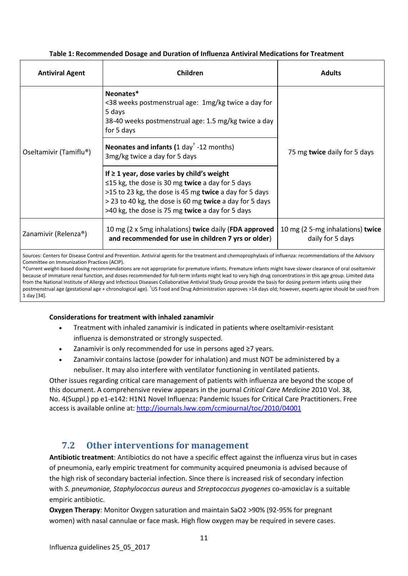#### **Table 1: Recommended Dosage and Duration of Influenza Antiviral Medications for Treatment**

| <b>Antiviral Agent</b>                                                                                                                                     | Children                                                                                                                                                                                                                                                                           | <b>Adults</b>                                        |  |  |
|------------------------------------------------------------------------------------------------------------------------------------------------------------|------------------------------------------------------------------------------------------------------------------------------------------------------------------------------------------------------------------------------------------------------------------------------------|------------------------------------------------------|--|--|
| Oseltamivir (Tamiflu®)                                                                                                                                     | Neonates*<br><38 weeks postmenstrual age: 1mg/kg twice a day for<br>5 days<br>38-40 weeks postmenstrual age: 1.5 mg/kg twice a day<br>for 5 days                                                                                                                                   |                                                      |  |  |
|                                                                                                                                                            | Neonates and infants $(1 day† -12 months)$<br>3mg/kg twice a day for 5 days                                                                                                                                                                                                        | 75 mg twice daily for 5 days                         |  |  |
|                                                                                                                                                            | If $\geq 1$ year, dose varies by child's weight<br>$\leq$ 15 kg, the dose is 30 mg twice a day for 5 days<br>>15 to 23 kg, the dose is 45 mg twice a day for 5 days<br>> 23 to 40 kg, the dose is 60 mg twice a day for 5 days<br>>40 kg, the dose is 75 mg twice a day for 5 days |                                                      |  |  |
| Zanamivir (Relenza®)                                                                                                                                       | 10 mg (2 x 5mg inhalations) twice daily (FDA approved<br>and recommended for use in children 7 yrs or older)                                                                                                                                                                       | 10 mg (2 5-mg inhalations) twice<br>daily for 5 days |  |  |
| Sources: Centers for Disease Control and Prevention. Antiviral agents for the treatment and chemoprophylaxis of influenza: recommendations of the Advisory |                                                                                                                                                                                                                                                                                    |                                                      |  |  |

Committee on Immunization Practices (ACIP).

\*Current weight-based dosing recommendations are not appropriate for premature infants. Premature infants might have slower clearance of oral oseltamivir because of immature renal function, and doses recommended for full-term infants might lead to very high drug concentrations in this age group. Limited data from the National Institute of Allergy and Infectious Diseases Collaborative Antiviral Study Group provide the basis for dosing preterm infants using their postmenstrual age (gestational age + chronological age). <sup>†</sup>US Food and Drug Administration approves >14 days old; however, experts agree should be used from 1 day [34].

#### **Considerations for treatment with inhaled zanamivir**

- Treatment with inhaled zanamivir is indicated in patients where oseltamivir-resistant influenza is demonstrated or strongly suspected.
- Zanamivir is only recommended for use in persons aged ≥7 years.
- Zanamivir contains lactose (powder for inhalation) and must NOT be administered by a nebuliser. It may also interfere with ventilator functioning in ventilated patients.

Other issues regarding critical care management of patients with influenza are beyond the scope of this document. A comprehensive review appears in the journal *Critical Care Medicine* 2010 Vol. 38, No. 4(Suppl.) pp e1-e142: H1N1 Novel Influenza: Pandemic Issues for Critical Care Practitioners. Free access is available online at:<http://journals.lww.com/ccmjournal/toc/2010/04001>

## **7.2 Other interventions for management**

**Antibiotic treatment**: Antibiotics do not have a specific effect against the influenza virus but in cases of pneumonia, early empiric treatment for community acquired pneumonia is advised because of the high risk of secondary bacterial infection. Since there is increased risk of secondary infection with *S. pneumoniae, Staphylococcus aureus* and *Streptococcus pyogenes* co-amoxiclav is a suitable empiric antibiotic.

**Oxygen Therapy**: Monitor Oxygen saturation and maintain SaO2 >90% (92-95% for pregnant women) with nasal cannulae or face mask. High flow oxygen may be required in severe cases.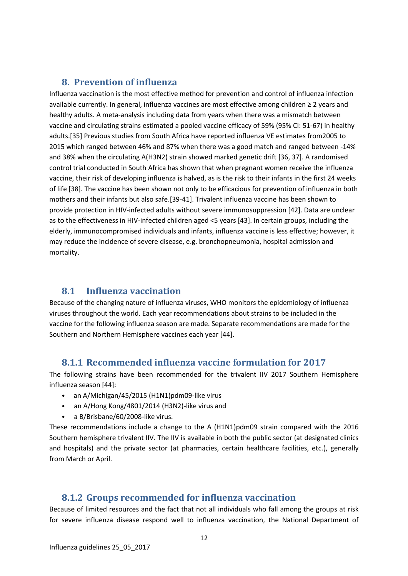#### **8. Prevention of influenza**

Influenza vaccination is the most effective method for prevention and control of influenza infection available currently. In general, influenza vaccines are most effective among children ≥ 2 years and healthy adults. A meta-analysis including data from years when there was a mismatch between vaccine and circulating strains estimated a pooled vaccine efficacy of 59% (95% CI: 51-67) in healthy adults.[35] Previous studies from South Africa have reported influenza VE estimates from2005 to 2015 which ranged between 46% and 87% when there was a good match and ranged between -14% and 38% when the circulating A(H3N2) strain showed marked genetic drift [36, 37]. A randomised control trial conducted in South Africa has shown that when pregnant women receive the influenza vaccine, their risk of developing influenza is halved, as is the risk to their infants in the first 24 weeks of life [38]. The vaccine has been shown not only to be efficacious for prevention of influenza in both mothers and their infants but also safe.[39-41]. Trivalent influenza vaccine has been shown to provide protection in HIV-infected adults without severe immunosuppression [42]. Data are unclear as to the effectiveness in HIV-infected children aged <5 years [43]. In certain groups, including the elderly, immunocompromised individuals and infants, influenza vaccine is less effective; however, it may reduce the incidence of severe disease, e.g. bronchopneumonia, hospital admission and mortality.

## **8.1 Influenza vaccination**

Because of the changing nature of influenza viruses, WHO monitors the epidemiology of influenza viruses throughout the world. Each year recommendations about strains to be included in the vaccine for the following influenza season are made. Separate recommendations are made for the Southern and Northern Hemisphere vaccines each year [44].

#### **8.1.1 Recommended influenza vaccine formulation for 2017**

The following strains have been recommended for the trivalent IIV 2017 Southern Hemisphere influenza season [44]:

- an A/Michigan/45/2015 (H1N1)pdm09-like virus
- an A/Hong Kong/4801/2014 (H3N2)-like virus and
- a B/Brisbane/60/2008-like virus.

These recommendations include a change to the A (H1N1)pdm09 strain compared with the 2016 Southern hemisphere trivalent IIV. The IIV is available in both the public sector (at designated clinics and hospitals) and the private sector (at pharmacies, certain healthcare facilities, etc.), generally from March or April.

## **8.1.2 Groups recommended for influenza vaccination**

Because of limited resources and the fact that not all individuals who fall among the groups at risk for severe influenza disease respond well to influenza vaccination, the National Department of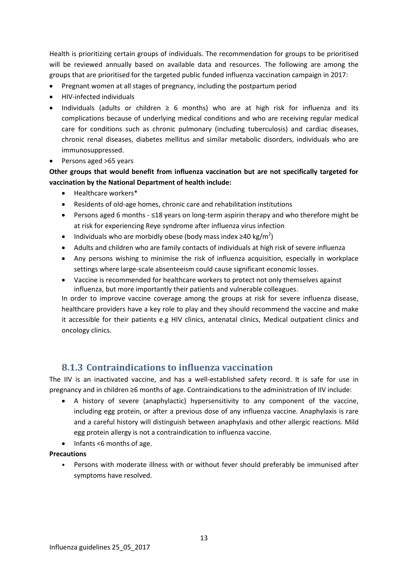Health is prioritizing certain groups of individuals. The recommendation for groups to be prioritised will be reviewed annually based on available data and resources. The following are among the groups that are prioritised for the targeted public funded influenza vaccination campaign in 2017:

- Pregnant women at all stages of pregnancy, including the postpartum period
- HIV-infected individuals
- Individuals (adults or children ≥ 6 months) who are at high risk for influenza and its complications because of underlying medical conditions and who are receiving regular medical care for conditions such as chronic pulmonary (including tuberculosis) and cardiac diseases, chronic renal diseases, diabetes mellitus and similar metabolic disorders, individuals who are immunosuppressed.
- Persons aged >65 years

#### **Other groups that would benefit from influenza vaccination but are not specifically targeted for vaccination by the National Department of health include:**

- Healthcare workers\*
- Residents of old-age homes, chronic care and rehabilitation institutions
- Persons aged 6 months ≤18 years on long-term aspirin therapy and who therefore might be at risk for experiencing Reye syndrome after influenza virus infection
- Individuals who are morbidly obese (body mass index  $\geq$ 40 kg/m<sup>2</sup>)
- Adults and children who are family contacts of individuals at high risk of severe influenza
- Any persons wishing to minimise the risk of influenza acquisition, especially in workplace settings where large-scale absenteeism could cause significant economic losses.
- Vaccine is recommended for healthcare workers to protect not only themselves against influenza, but more importantly their patients and vulnerable colleagues.

In order to improve vaccine coverage among the groups at risk for severe influenza disease, healthcare providers have a key role to play and they should recommend the vaccine and make it accessible for their patients e.g HIV clinics, antenatal clinics, Medical outpatient clinics and oncology clinics.

## **8.1.3 Contraindications to influenza vaccination**

The IIV is an inactivated vaccine, and has a well-established safety record. It is safe for use in pregnancy and in children ≥6 months of age. Contraindications to the administration of IIV include:

- A history of severe (anaphylactic) hypersensitivity to any component of the vaccine, including egg protein, or after a previous dose of any influenza vaccine. Anaphylaxis is rare and a careful history will distinguish between anaphylaxis and other allergic reactions. Mild egg protein allergy is not a contraindication to influenza vaccine.
- Infants <6 months of age.

#### **Precautions**

• Persons with moderate illness with or without fever should preferably be immunised after symptoms have resolved.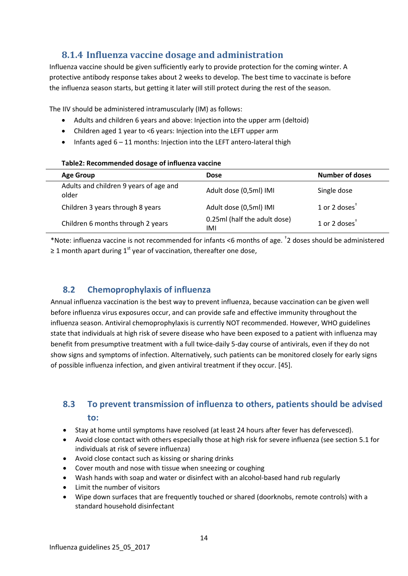## **8.1.4 Influenza vaccine dosage and administration**

Influenza vaccine should be given sufficiently early to provide protection for the coming winter. A protective antibody response takes about 2 weeks to develop. The best time to vaccinate is before the influenza season starts, but getting it later will still protect during the rest of the season.

The IIV should be administered intramuscularly (IM) as follows:

- Adults and children 6 years and above: Injection into the upper arm (deltoid)
- Children aged 1 year to <6 years: Injection into the LEFT upper arm
- Infants aged  $6 11$  months: Injection into the LEFT antero-lateral thigh

#### **Table2: Recommended dosage of influenza vaccine**

| <b>Age Group</b>                                | <b>Dose</b>                         | <b>Number of doses</b>    |
|-------------------------------------------------|-------------------------------------|---------------------------|
| Adults and children 9 years of age and<br>older | Adult dose (0,5ml) IMI              | Single dose               |
| Children 3 years through 8 years                | Adult dose (0,5ml) IMI              | 1 or 2 doses $†$          |
| Children 6 months through 2 years               | 0.25ml (half the adult dose)<br>IMI | 1 or 2 doses <sup>T</sup> |

\*Note: influenza vaccine is not recommended for infants <6 months of age. † 2 doses should be administered ≥ 1 month apart during 1<sup>st</sup> year of vaccination, thereafter one dose,

## **8.2 Chemoprophylaxis of influenza**

Annual influenza vaccination is the best way to prevent influenza, because vaccination can be given well before influenza virus exposures occur, and can provide safe and effective immunity throughout the influenza season. Antiviral chemoprophylaxis is currently NOT recommended. However, WHO guidelines state that individuals at high risk of severe disease who have been exposed to a patient with influenza may benefit from presumptive treatment with a full twice-daily 5-day course of antivirals, even if they do not show signs and symptoms of infection. Alternatively, such patients can be monitored closely for early signs of possible influenza infection, and given antiviral treatment if they occur. [45].

## **8.3 To prevent transmission of influenza to others, patients should be advised to:**

- Stay at home until symptoms have resolved (at least 24 hours after fever has defervesced).
- Avoid close contact with others especially those at high risk for severe influenza (see section 5.1 for individuals at risk of severe influenza)
- Avoid close contact such as kissing or sharing drinks
- Cover mouth and nose with tissue when sneezing or coughing
- Wash hands with soap and water or disinfect with an alcohol-based hand rub regularly
- Limit the number of visitors
- Wipe down surfaces that are frequently touched or shared (doorknobs, remote controls) with a standard household disinfectant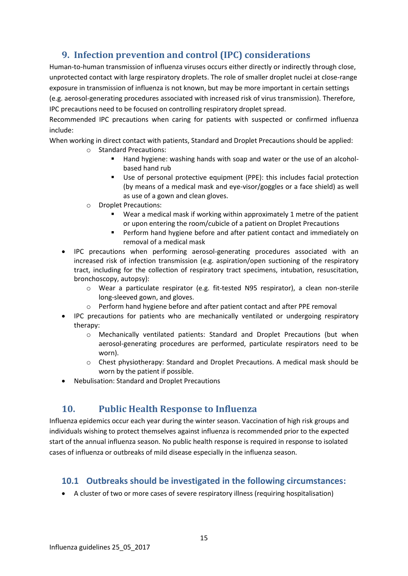## **9. Infection prevention and control (IPC) considerations**

Human-to-human transmission of influenza viruses occurs either directly or indirectly through close, unprotected contact with large respiratory droplets. The role of smaller droplet nuclei at close-range exposure in transmission of influenza is not known, but may be more important in certain settings (e.g. aerosol-generating procedures associated with increased risk of virus transmission). Therefore, IPC precautions need to be focused on controlling respiratory droplet spread.

Recommended IPC precautions when caring for patients with suspected or confirmed influenza include:

When working in direct contact with patients, Standard and Droplet Precautions should be applied:

- o Standard Precautions:
	- Hand hygiene: washing hands with soap and water or the use of an alcoholbased hand rub
	- Use of personal protective equipment (PPE): this includes facial protection (by means of a medical mask and eye-visor/goggles or a face shield) as well as use of a gown and clean gloves.
- o Droplet Precautions:
	- Wear a medical mask if working within approximately 1 metre of the patient or upon entering the room/cubicle of a patient on Droplet Precautions
	- **Perform hand hygiene before and after patient contact and immediately on** removal of a medical mask
- IPC precautions when performing aerosol-generating procedures associated with an increased risk of infection transmission (e.g. aspiration/open suctioning of the respiratory tract, including for the collection of respiratory tract specimens, intubation, resuscitation, bronchoscopy, autopsy):
	- o Wear a particulate respirator (e.g. fit-tested N95 respirator), a clean non-sterile long-sleeved gown, and gloves.
	- o Perform hand hygiene before and after patient contact and after PPE removal
- IPC precautions for patients who are mechanically ventilated or undergoing respiratory therapy:
	- o Mechanically ventilated patients: Standard and Droplet Precautions (but when aerosol-generating procedures are performed, particulate respirators need to be worn).
	- o Chest physiotherapy: Standard and Droplet Precautions. A medical mask should be worn by the patient if possible.
- Nebulisation: Standard and Droplet Precautions

## **10. Public Health Response to Influenza**

Influenza epidemics occur each year during the winter season. Vaccination of high risk groups and individuals wishing to protect themselves against influenza is recommended prior to the expected start of the annual influenza season. No public health response is required in response to isolated cases of influenza or outbreaks of mild disease especially in the influenza season.

## **10.1 Outbreaks should be investigated in the following circumstances:**

A cluster of two or more cases of severe respiratory illness (requiring hospitalisation)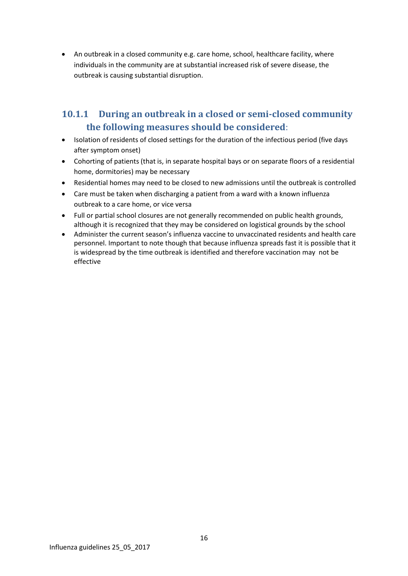An outbreak in a closed community e.g. care home, school, healthcare facility, where individuals in the community are at substantial increased risk of severe disease, the outbreak is causing substantial disruption.

## **10.1.1 During an outbreak in a closed or semi-closed community the following measures should be considered**:

- Isolation of residents of closed settings for the duration of the infectious period (five days after symptom onset)
- Cohorting of patients (that is, in separate hospital bays or on separate floors of a residential home, dormitories) may be necessary
- Residential homes may need to be closed to new admissions until the outbreak is controlled
- Care must be taken when discharging a patient from a ward with a known influenza outbreak to a care home, or vice versa
- Full or partial school closures are not generally recommended on public health grounds, although it is recognized that they may be considered on logistical grounds by the school
- Administer the current season's influenza vaccine to unvaccinated residents and health care personnel. Important to note though that because influenza spreads fast it is possible that it is widespread by the time outbreak is identified and therefore vaccination may not be effective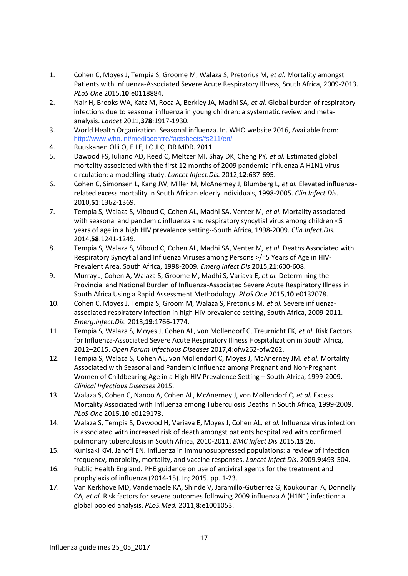- 1. Cohen C, Moyes J, Tempia S, Groome M, Walaza S, Pretorius M*, et al.* Mortality amongst Patients with Influenza-Associated Severe Acute Respiratory Illness, South Africa, 2009-2013. *PLoS One* 2015,**10**:e0118884.
- 2. Nair H, Brooks WA, Katz M, Roca A, Berkley JA, Madhi SA*, et al.* Global burden of respiratory infections due to seasonal influenza in young children: a systematic review and metaanalysis. *Lancet* 2011,**378**:1917-1930.
- 3. World Health Organization. Seasonal influenza. In. WHO website 2016, Available from: http://www.who.int/mediacentre/factsheets/fs211/en/
- 4. Ruuskanen Olli O, E LE, LC JLC, DR MDR. 2011.
- 5. Dawood FS, Iuliano AD, Reed C, Meltzer MI, Shay DK, Cheng PY*, et al.* Estimated global mortality associated with the first 12 months of 2009 pandemic influenza A H1N1 virus circulation: a modelling study. *Lancet Infect.Dis.* 2012,**12**:687-695.
- 6. Cohen C, Simonsen L, Kang JW, Miller M, McAnerney J, Blumberg L*, et al.* Elevated influenzarelated excess mortality in South African elderly individuals, 1998-2005. *Clin.Infect.Dis.*  2010,**51**:1362-1369.
- 7. Tempia S, Walaza S, Viboud C, Cohen AL, Madhi SA, Venter M*, et al.* Mortality associated with seasonal and pandemic influenza and respiratory syncytial virus among children <5 years of age in a high HIV prevalence setting--South Africa, 1998-2009. *Clin.Infect.Dis.*  2014,**58**:1241-1249.
- 8. Tempia S, Walaza S, Viboud C, Cohen AL, Madhi SA, Venter M*, et al.* Deaths Associated with Respiratory Syncytial and Influenza Viruses among Persons >/=5 Years of Age in HIV-Prevalent Area, South Africa, 1998-2009. *Emerg Infect Dis* 2015,**21**:600-608.
- 9. Murray J, Cohen A, Walaza S, Groome M, Madhi S, Variava E*, et al.* Determining the Provincial and National Burden of Influenza-Associated Severe Acute Respiratory Illness in South Africa Using a Rapid Assessment Methodology. *PLoS One* 2015,**10**:e0132078.
- 10. Cohen C, Moyes J, Tempia S, Groom M, Walaza S, Pretorius M*, et al.* Severe influenzaassociated respiratory infection in high HIV prevalence setting, South Africa, 2009-2011. *Emerg.Infect.Dis.* 2013,**19**:1766-1774.
- 11. Tempia S, Walaza S, Moyes J, Cohen AL, von Mollendorf C, Treurnicht FK*, et al.* Risk Factors for Influenza-Associated Severe Acute Respiratory Illness Hospitalization in South Africa, 2012–2015. *Open Forum Infectious Diseases* 2017,**4**:ofw262-ofw262.
- 12. Tempia S, Walaza S, Cohen AL, von Mollendorf C, Moyes J, McAnerney JM*, et al.* Mortality Associated with Seasonal and Pandemic Influenza among Pregnant and Non-Pregnant Women of Childbearing Age in a High HIV Prevalence Setting – South Africa, 1999-2009. *Clinical Infectious Diseases* 2015.
- 13. Walaza S, Cohen C, Nanoo A, Cohen AL, McAnerney J, von Mollendorf C*, et al.* Excess Mortality Associated with Influenza among Tuberculosis Deaths in South Africa, 1999-2009. *PLoS One* 2015,**10**:e0129173.
- 14. Walaza S, Tempia S, Dawood H, Variava E, Moyes J, Cohen AL*, et al.* Influenza virus infection is associated with increased risk of death amongst patients hospitalized with confirmed pulmonary tuberculosis in South Africa, 2010-2011. *BMC Infect Dis* 2015,**15**:26.
- 15. Kunisaki KM, Janoff EN. Influenza in immunosuppressed populations: a review of infection frequency, morbidity, mortality, and vaccine responses. *Lancet Infect.Dis.* 2009,**9**:493-504.
- 16. Public Health England. PHE guidance on use of antiviral agents for the treatment and prophylaxis of influenza (2014-15). In; 2015. pp. 1-23.
- 17. Van Kerkhove MD, Vandemaele KA, Shinde V, Jaramillo-Gutierrez G, Koukounari A, Donnelly CA*, et al.* Risk factors for severe outcomes following 2009 influenza A (H1N1) infection: a global pooled analysis. *PLoS.Med.* 2011,**8**:e1001053.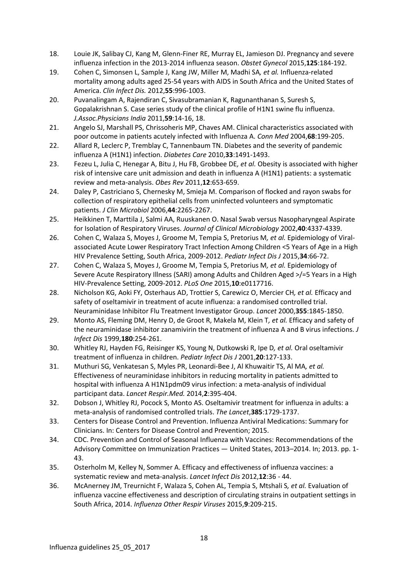- 18. Louie JK, Salibay CJ, Kang M, Glenn-Finer RE, Murray EL, Jamieson DJ. Pregnancy and severe influenza infection in the 2013-2014 influenza season. *Obstet Gynecol* 2015,**125**:184-192.
- 19. Cohen C, Simonsen L, Sample J, Kang JW, Miller M, Madhi SA*, et al.* Influenza-related mortality among adults aged 25-54 years with AIDS in South Africa and the United States of America. *Clin Infect Dis.* 2012,**55**:996-1003.
- 20. Puvanalingam A, Rajendiran C, Sivasubramanian K, Ragunanthanan S, Suresh S, Gopalakrishnan S. Case series study of the clinical profile of H1N1 swine flu influenza. *J.Assoc.Physicians India* 2011,**59**:14-16, 18.
- 21. Angelo SJ, Marshall PS, Chrissoheris MP, Chaves AM. Clinical characteristics associated with poor outcome in patients acutely infected with Influenza A. *Conn Med* 2004,**68**:199-205.
- 22. Allard R, Leclerc P, Tremblay C, Tannenbaum TN. Diabetes and the severity of pandemic influenza A (H1N1) infection. *Diabetes Care* 2010,**33**:1491-1493.
- 23. Fezeu L, Julia C, Henegar A, Bitu J, Hu FB, Grobbee DE*, et al.* Obesity is associated with higher risk of intensive care unit admission and death in influenza A (H1N1) patients: a systematic review and meta-analysis. *Obes Rev* 2011,**12**:653-659.
- 24. Daley P, Castriciano S, Chernesky M, Smieja M. Comparison of flocked and rayon swabs for collection of respiratory epithelial cells from uninfected volunteers and symptomatic patients. *J Clin Microbiol* 2006,**44**:2265-2267.
- 25. Heikkinen T, Marttila J, Salmi AA, Ruuskanen O. Nasal Swab versus Nasopharyngeal Aspirate for Isolation of Respiratory Viruses. *Journal of Clinical Microbiology* 2002,**40**:4337-4339.
- 26. Cohen C, Walaza S, Moyes J, Groome M, Tempia S, Pretorius M*, et al.* Epidemiology of Viralassociated Acute Lower Respiratory Tract Infection Among Children <5 Years of Age in a High HIV Prevalence Setting, South Africa, 2009-2012. *Pediatr Infect Dis J* 2015,**34**:66-72.
- 27. Cohen C, Walaza S, Moyes J, Groome M, Tempia S, Pretorius M*, et al.* Epidemiology of Severe Acute Respiratory Illness (SARI) among Adults and Children Aged >/=5 Years in a High HIV-Prevalence Setting, 2009-2012. *PLoS One* 2015,**10**:e0117716.
- 28. Nicholson KG, Aoki FY, Osterhaus AD, Trottier S, Carewicz O, Mercier CH*, et al.* Efficacy and safety of oseltamivir in treatment of acute influenza: a randomised controlled trial. Neuraminidase Inhibitor Flu Treatment Investigator Group. *Lancet* 2000,**355**:1845-1850.
- 29. Monto AS, Fleming DM, Henry D, de Groot R, Makela M, Klein T*, et al.* Efficacy and safety of the neuraminidase inhibitor zanamivirin the treatment of influenza A and B virus infections. *J Infect Dis* 1999,**180**:254-261.
- 30. Whitley RJ, Hayden FG, Reisinger KS, Young N, Dutkowski R, Ipe D*, et al.* Oral oseltamivir treatment of influenza in children. *Pediatr Infect Dis J* 2001,**20**:127-133.
- 31. Muthuri SG, Venkatesan S, Myles PR, Leonardi-Bee J, Al Khuwaitir TS, Al MA*, et al.* Effectiveness of neuraminidase inhibitors in reducing mortality in patients admitted to hospital with influenza A H1N1pdm09 virus infection: a meta-analysis of individual participant data. *Lancet Respir.Med.* 2014,**2**:395-404.
- 32. Dobson J, Whitley RJ, Pocock S, Monto AS. Oseltamivir treatment for influenza in adults: a meta-analysis of randomised controlled trials. *The Lancet*,**385**:1729-1737.
- 33. Centers for Disease Control and Prevention. Influenza Antiviral Medications: Summary for Clinicians. In: Centers for Disease Control and Prevention; 2015.
- 34. CDC. Prevention and Control of Seasonal Influenza with Vaccines: Recommendations of the Advisory Committee on Immunization Practices — United States, 2013–2014. In; 2013. pp. 1- 43.
- 35. Osterholm M, Kelley N, Sommer A. Efficacy and effectiveness of influenza vaccines: a systematic review and meta-analysis. *Lancet Infect Dis* 2012,**12**:36 - 44.
- 36. McAnerney JM, Treurnicht F, Walaza S, Cohen AL, Tempia S, Mtshali S*, et al.* Evaluation of influenza vaccine effectiveness and description of circulating strains in outpatient settings in South Africa, 2014. *Influenza Other Respir Viruses* 2015,**9**:209-215.